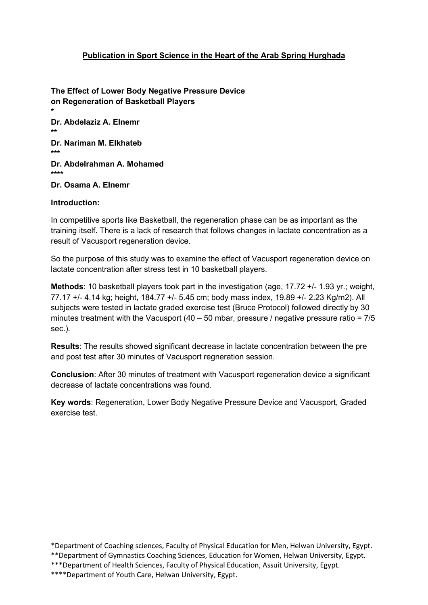# Publication in Sport Science in the Heart of the Arab Spring Hurghada

The Effect of Lower Body Negative Pressure Device on Regeneration of Basketball Players \* Dr. Abdelaziz A. Elnemr \*\* Dr. Nariman M. Elkhateb \*\*\* Dr. Abdelrahman A. Mohamed \*\*\*\* Dr. Osama A. Elnemr

#### Introduction:

In competitive sports like Basketball, the regeneration phase can be as important as the training itself. There is a lack of research that follows changes in lactate concentration as a result of Vacusport regeneration device.

So the purpose of this study was to examine the effect of Vacusport regeneration device on lactate concentration after stress test in 10 basketball players.

Methods: 10 basketball players took part in the investigation (age, 17.72 +/- 1.93 yr.; weight, 77.17 +/- 4.14 kg; height, 184.77 +/- 5.45 cm; body mass index, 19.89 +/- 2.23 Kg/m2). All subjects were tested in lactate graded exercise test (Bruce Protocol) followed directly by 30 minutes treatment with the Vacusport  $(40 - 50$  mbar, pressure / negative pressure ratio =  $7/5$ sec.).

Results: The results showed significant decrease in lactate concentration between the pre and post test after 30 minutes of Vacusport regneration session.

Conclusion: After 30 minutes of treatment with Vacusport regeneration device a significant decrease of lactate concentrations was found.

Key words: Regeneration, Lower Body Negative Pressure Device and Vacusport, Graded exercise test.

\*Department of Coaching sciences, Faculty of Physical Education for Men, Helwan University, Egypt. \*\*Department of Gymnastics Coaching Sciences, Education for Women, Helwan University, Egypt. \*\*\*Department of Health Sciences, Faculty of Physical Education, Assuit University, Egypt.

\*\*\*\*Department of Youth Care, Helwan University, Egypt.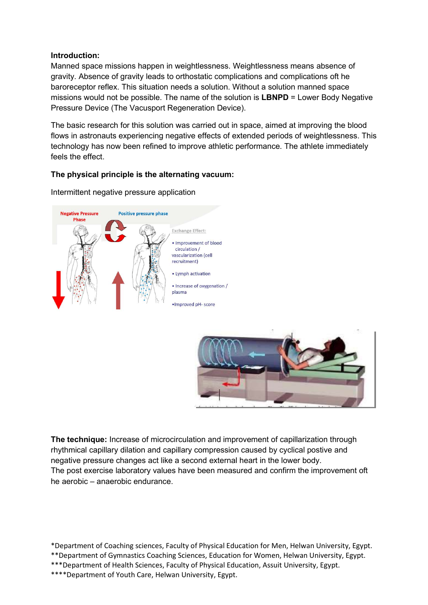### Introduction:

Manned space missions happen in weightlessness. Weightlessness means absence of gravity. Absence of gravity leads to orthostatic complications and complications oft he baroreceptor reflex. This situation needs a solution. Without a solution manned space missions would not be possible. The name of the solution is LBNPD = Lower Body Negative Pressure Device (The Vacusport Regeneration Device).

The basic research for this solution was carried out in space, aimed at improving the blood flows in astronauts experiencing negative effects of extended periods of weightlessness. This technology has now been refined to improve athletic performance. The athlete immediately feels the effect.

# The physical principle is the alternating vacuum:



Intermittent negative pressure application



The technique: Increase of microcirculation and improvement of capillarization through rhythmical capillary dilation and capillary compression caused by cyclical postive and negative pressure changes act like a second external heart in the lower body. The post exercise laboratory values have been measured and confirm the improvement oft he aerobic – anaerobic endurance.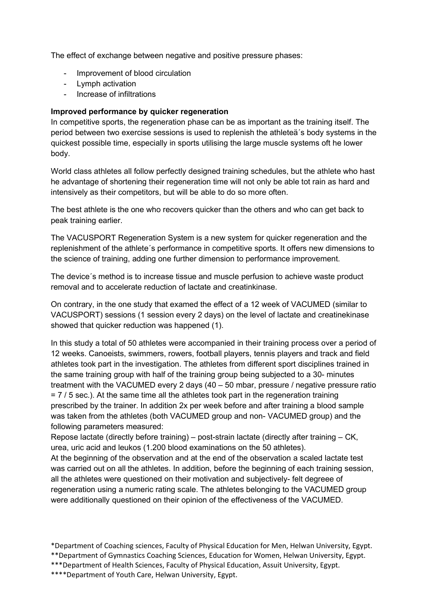The effect of exchange between negative and positive pressure phases:

- Improvement of blood circulation
- Lymph activation
- Increase of infiltrations

### Improved performance by quicker regeneration

In competitive sports, the regeneration phase can be as important as the training itself. The period between two exercise sessions is used to replenish the athleteä´s body systems in the quickest possible time, especially in sports utilising the large muscle systems oft he lower body.

World class athletes all follow perfectly designed training schedules, but the athlete who hast he advantage of shortening their regeneration time will not only be able tot rain as hard and intensively as their competitors, but will be able to do so more often.

The best athlete is the one who recovers quicker than the others and who can get back to peak training earlier.

The VACUSPORT Regeneration System is a new system for quicker regeneration and the replenishment of the athlete´s performance in competitive sports. It offers new dimensions to the science of training, adding one further dimension to performance improvement.

The device´s method is to increase tissue and muscle perfusion to achieve waste product removal and to accelerate reduction of lactate and creatinkinase.

On contrary, in the one study that examed the effect of a 12 week of VACUMED (similar to VACUSPORT) sessions (1 session every 2 days) on the level of lactate and creatinekinase showed that quicker reduction was happened (1).

In this study a total of 50 athletes were accompanied in their training process over a period of 12 weeks. Canoeists, swimmers, rowers, football players, tennis players and track and field athletes took part in the investigation. The athletes from different sport disciplines trained in the same training group with half of the training group being subjected to a 30- minutes treatment with the VACUMED every 2 days (40 – 50 mbar, pressure / negative pressure ratio  $= 7/5$  sec.). At the same time all the athletes took part in the regeneration training prescribed by the trainer. In addition 2x per week before and after training a blood sample was taken from the athletes (both VACUMED group and non- VACUMED group) and the following parameters measured:

Repose lactate (directly before training) – post-strain lactate (directly after training – CK, urea, uric acid and leukos (1.200 blood examinations on the 50 athletes).

At the beginning of the observation and at the end of the observation a scaled lactate test was carried out on all the athletes. In addition, before the beginning of each training session, all the athletes were questioned on their motivation and subjectively- felt degreee of regeneration using a numeric rating scale. The athletes belonging to the VACUMED group were additionally questioned on their opinion of the effectiveness of the VACUMED.

\*Department of Coaching sciences, Faculty of Physical Education for Men, Helwan University, Egypt. \*\*Department of Gymnastics Coaching Sciences, Education for Women, Helwan University, Egypt. \*\*\*Department of Health Sciences, Faculty of Physical Education, Assuit University, Egypt.

\*\*\*\*Department of Youth Care, Helwan University, Egypt.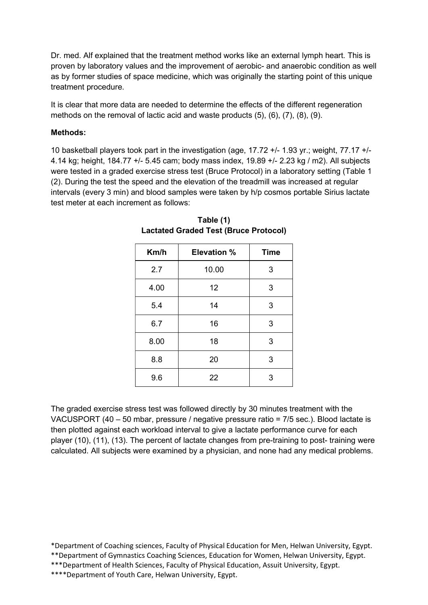Dr. med. Alf explained that the treatment method works like an external lymph heart. This is proven by laboratory values and the improvement of aerobic- and anaerobic condition as well as by former studies of space medicine, which was originally the starting point of this unique treatment procedure.

It is clear that more data are needed to determine the effects of the different regeneration methods on the removal of lactic acid and waste products (5), (6), (7), (8), (9).

### Methods:

10 basketball players took part in the investigation (age, 17.72 +/- 1.93 yr.; weight, 77.17 +/- 4.14 kg; height, 184.77 +/- 5.45 cam; body mass index, 19.89 +/- 2.23 kg / m2). All subjects were tested in a graded exercise stress test (Bruce Protocol) in a laboratory setting (Table 1 (2). During the test the speed and the elevation of the treadmill was increased at regular intervals (every 3 min) and blood samples were taken by h/p cosmos portable Sirius lactate test meter at each increment as follows:

| Km/h | <b>Elevation %</b> | <b>Time</b> |
|------|--------------------|-------------|
| 2.7  | 10.00              | 3           |
| 4.00 | 12                 | 3           |
| 5.4  | 14                 | 3           |
| 6.7  | 16                 | 3           |
| 8.00 | 18                 | 3           |
| 8.8  | 20                 | 3           |
| 9.6  | 22                 | 3           |

Table (1) Lactated Graded Test (Bruce Protocol)

The graded exercise stress test was followed directly by 30 minutes treatment with the VACUSPORT (40 – 50 mbar, pressure / negative pressure ratio = 7/5 sec.). Blood lactate is then plotted against each workload interval to give a lactate performance curve for each player (10), (11), (13). The percent of lactate changes from pre-training to post- training were calculated. All subjects were examined by a physician, and none had any medical problems.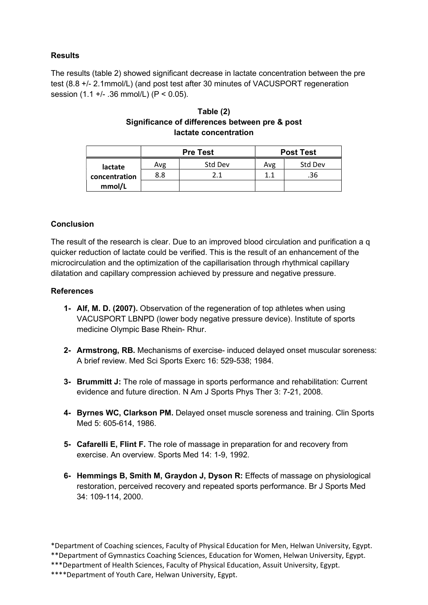# **Results**

The results (table 2) showed significant decrease in lactate concentration between the pre test (8.8 +/- 2.1mmol/L) (and post test after 30 minutes of VACUSPORT regeneration session (1.1 +/- .36 mmol/L) (P < 0.05).

### Table (2) Significance of differences between pre & post lactate concentration

|               | <b>Pre Test</b> |         | <b>Post Test</b> |         |
|---------------|-----------------|---------|------------------|---------|
| lactate       | Avg             | Std Dev | Avg              | Std Dev |
| concentration | 8.8             | 2.1     | 1.1              | .36     |
| mmol/L        |                 |         |                  |         |

# **Conclusion**

The result of the research is clear. Due to an improved blood circulation and purification a q quicker reduction of lactate could be verified. This is the result of an enhancement of the microcirculation and the optimization of the capillarisation through rhythmical capillary dilatation and capillary compression achieved by pressure and negative pressure.

### **References**

- 1- Alf, M. D. (2007). Observation of the regeneration of top athletes when using VACUSPORT LBNPD (lower body negative pressure device). Institute of sports medicine Olympic Base Rhein- Rhur.
- 2- Armstrong, RB. Mechanisms of exercise- induced delayed onset muscular soreness: A brief review. Med Sci Sports Exerc 16: 529-538; 1984.
- 3- Brummitt J: The role of massage in sports performance and rehabilitation: Current evidence and future direction. N Am J Sports Phys Ther 3: 7-21, 2008.
- 4- Byrnes WC, Clarkson PM. Delayed onset muscle soreness and training. Clin Sports Med 5: 605-614, 1986.
- 5- Cafarelli E, Flint F. The role of massage in preparation for and recovery from exercise. An overview. Sports Med 14: 1-9, 1992.
- 6- Hemmings B, Smith M, Graydon J, Dyson R: Effects of massage on physiological restoration, perceived recovery and repeated sports performance. Br J Sports Med 34: 109-114, 2000.